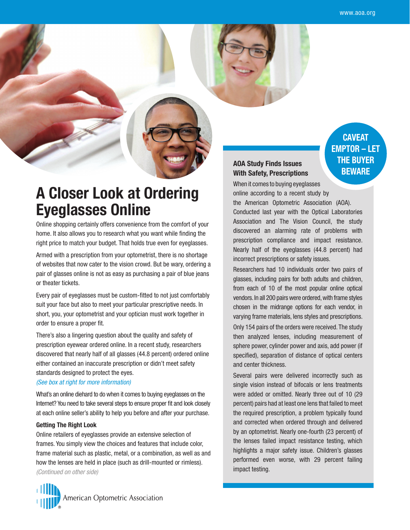**CAVEAT EMPTOR – LET THE BUYER BEWARE**

# **A Closer Look at Ordering Eyeglasses Online**

Online shopping certainly offers convenience from the comfort of your home. It also allows you to research what you want while finding the right price to match your budget. That holds true even for eyeglasses.

Armed with a prescription from your optometrist, there is no shortage of websites that now cater to the vision crowd. But be wary, ordering a pair of glasses online is not as easy as purchasing a pair of blue jeans or theater tickets.

Every pair of eyeglasses must be custom-fitted to not just comfortably suit your face but also to meet your particular prescriptive needs. In short, you, your optometrist and your optician must work together in order to ensure a proper fit.

There's also a lingering question about the quality and safety of prescription eyewear ordered online. In a recent study, researchers discovered that nearly half of all glasses (44.8 percent) ordered online either contained an inaccurate prescription or didn't meet safety standards designed to protect the eyes.

## *(See box at right for more information)*

What's an online diehard to do when it comes to buying eyeglasses on the Internet? You need to take several steps to ensure proper fit and look closely at each online seller's ability to help you before and after your purchase.

## **Getting The Right Look**

Online retailers of eyeglasses provide an extensive selection of frames. You simply view the choices and features that include color, frame material such as plastic, metal, or a combination, as well as and how the lenses are held in place (such as drill-mounted or rimless). *(Continued on other side)*



# **AOA Study Finds Issues With Safety, Prescriptions**

When it comes to buying eyeglasses online according to a recent study by the American Optometric Association (AOA). Conducted last year with the Optical Laboratories Association and The Vision Council, the study discovered an alarming rate of problems with prescription compliance and impact resistance. Nearly half of the eyeglasses (44.8 percent) had incorrect prescriptions or safety issues.

Researchers had 10 individuals order two pairs of glasses, including pairs for both adults and children, from each of 10 of the most popular online optical vendors. In all 200 pairs were ordered, with frame styles chosen in the midrange options for each vendor, in varying frame materials, lens styles and prescriptions.

Only 154 pairs of the orders were received. The study then analyzed lenses, including measurement of sphere power, cylinder power and axis, add power (if specified), separation of distance of optical centers and center thickness.

Several pairs were delivered incorrectly such as single vision instead of bifocals or lens treatments were added or omitted. Nearly three out of 10 (29 percent) pairs had at least one lens that failed to meet the required prescription, a problem typically found and corrected when ordered through and delivered by an optometrist. Nearly one-fourth (23 percent) of the lenses failed impact resistance testing, which highlights a major safety issue. Children's glasses performed even worse, with 29 percent failing impact testing.